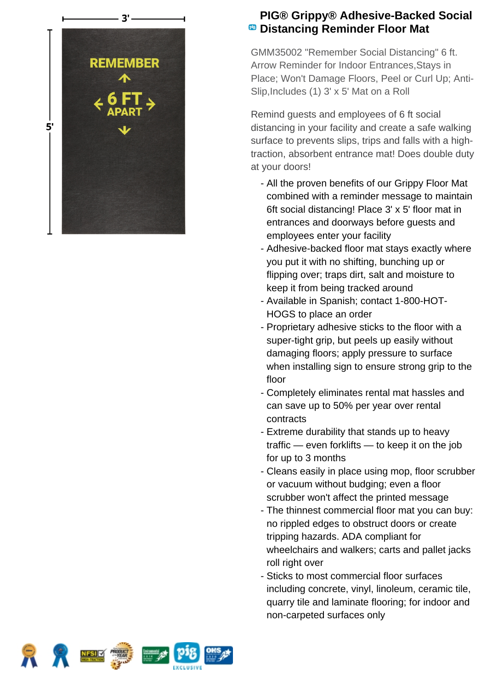

## **PIG® Grippy® Adhesive-Backed Social <sup><b>B</sup>** Distancing Reminder Floor Mat</sup>

GMM35002 "Remember Social Distancing" 6 ft. Arrow Reminder for Indoor Entrances,Stays in Place; Won't Damage Floors, Peel or Curl Up; Anti-Slip,Includes (1) 3' x 5' Mat on a Roll

Remind guests and employees of 6 ft social distancing in your facility and create a safe walking surface to prevents slips, trips and falls with a hightraction, absorbent entrance mat! Does double duty at your doors!

- All the proven benefits of our Grippy Floor Mat combined with a reminder message to maintain 6ft social distancing! Place 3' x 5' floor mat in entrances and doorways before guests and employees enter your facility
- Adhesive-backed floor mat stays exactly where you put it with no shifting, bunching up or flipping over; traps dirt, salt and moisture to keep it from being tracked around
- Available in Spanish; contact 1-800-HOT-HOGS to place an order
- Proprietary adhesive sticks to the floor with a super-tight grip, but peels up easily without damaging floors; apply pressure to surface when installing sign to ensure strong grip to the floor
- Completely eliminates rental mat hassles and can save up to 50% per year over rental contracts
- Extreme durability that stands up to heavy traffic — even forklifts — to keep it on the job for up to 3 months
- Cleans easily in place using mop, floor scrubber or vacuum without budging; even a floor scrubber won't affect the printed message
- The thinnest commercial floor mat you can buy: no rippled edges to obstruct doors or create tripping hazards. ADA compliant for wheelchairs and walkers; carts and pallet jacks roll right over
- Sticks to most commercial floor surfaces including concrete, vinyl, linoleum, ceramic tile, quarry tile and laminate flooring; for indoor and non-carpeted surfaces only

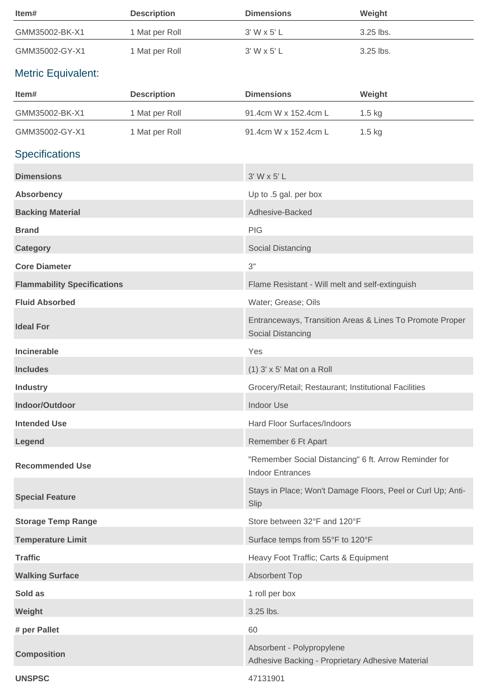| Item#                              | <b>Description</b> | <b>Dimensions</b>                                                                | Weight                                                      |
|------------------------------------|--------------------|----------------------------------------------------------------------------------|-------------------------------------------------------------|
| GMM35002-BK-X1                     | 1 Mat per Roll     | $3'$ W x $5'$ L                                                                  | 3.25 lbs.                                                   |
| GMM35002-GY-X1                     | 1 Mat per Roll     | 3' W x 5' L                                                                      | 3.25 lbs.                                                   |
| <b>Metric Equivalent:</b>          |                    |                                                                                  |                                                             |
| Item#                              | <b>Description</b> | <b>Dimensions</b>                                                                | Weight                                                      |
| GMM35002-BK-X1                     | 1 Mat per Roll     | 91.4cm W x 152.4cm L                                                             | 1.5 kg                                                      |
| GMM35002-GY-X1                     | 1 Mat per Roll     | 91.4cm W x 152.4cm L                                                             | $1.5$ kg                                                    |
| <b>Specifications</b>              |                    |                                                                                  |                                                             |
| <b>Dimensions</b>                  |                    | 3' W x 5' L                                                                      |                                                             |
| <b>Absorbency</b>                  |                    | Up to .5 gal. per box                                                            |                                                             |
| <b>Backing Material</b>            |                    | Adhesive-Backed                                                                  |                                                             |
| <b>Brand</b>                       |                    | <b>PIG</b>                                                                       |                                                             |
| <b>Category</b>                    |                    | Social Distancing                                                                |                                                             |
| <b>Core Diameter</b>               |                    | 3"                                                                               |                                                             |
| <b>Flammability Specifications</b> |                    | Flame Resistant - Will melt and self-extinguish                                  |                                                             |
| <b>Fluid Absorbed</b>              |                    | Water; Grease; Oils                                                              |                                                             |
| <b>Ideal For</b>                   |                    | Social Distancing                                                                | Entranceways, Transition Areas & Lines To Promote Proper    |
| Incinerable                        |                    | Yes                                                                              |                                                             |
| <b>Includes</b>                    |                    | $(1)$ 3' x 5' Mat on a Roll                                                      |                                                             |
| <b>Industry</b>                    |                    | Grocery/Retail; Restaurant; Institutional Facilities                             |                                                             |
| Indoor/Outdoor                     |                    | <b>Indoor Use</b>                                                                |                                                             |
| <b>Intended Use</b>                |                    | Hard Floor Surfaces/Indoors                                                      |                                                             |
| Legend                             |                    | Remember 6 Ft Apart                                                              |                                                             |
| <b>Recommended Use</b>             |                    | "Remember Social Distancing" 6 ft. Arrow Reminder for<br><b>Indoor Entrances</b> |                                                             |
| <b>Special Feature</b>             |                    | Slip                                                                             | Stays in Place; Won't Damage Floors, Peel or Curl Up; Anti- |
| <b>Storage Temp Range</b>          |                    | Store between 32°F and 120°F                                                     |                                                             |
| <b>Temperature Limit</b>           |                    | Surface temps from 55°F to 120°F                                                 |                                                             |
| <b>Traffic</b>                     |                    | Heavy Foot Traffic; Carts & Equipment                                            |                                                             |
| <b>Walking Surface</b>             |                    | Absorbent Top                                                                    |                                                             |
| Sold as                            |                    | 1 roll per box                                                                   |                                                             |
| Weight                             |                    | 3.25 lbs.                                                                        |                                                             |
| # per Pallet                       |                    | 60                                                                               |                                                             |
| <b>Composition</b>                 |                    | Absorbent - Polypropylene<br>Adhesive Backing - Proprietary Adhesive Material    |                                                             |
| <b>UNSPSC</b>                      |                    | 47131901                                                                         |                                                             |